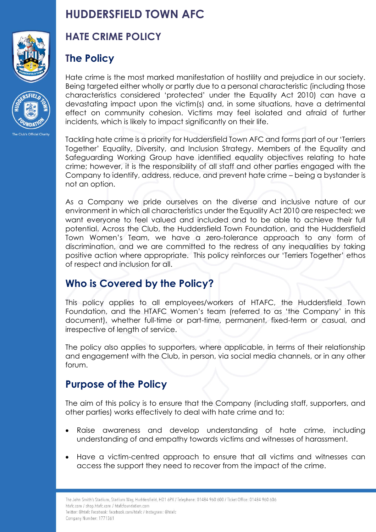



# **HUDDERSFIELD TOWN AFC**

# **HATE CRIME POLICY**

# **The Policy**

Hate crime is the most marked manifestation of hostility and prejudice in our society. Being targeted either wholly or partly due to a personal characteristic (including those characteristics considered 'protected' under the Equality Act 2010) can have a devastating impact upon the victim(s) and, in some situations, have a detrimental effect on community cohesion. Victims may feel isolated and afraid of further incidents, which is likely to impact significantly on their life.

Tackling hate crime is a priority for Huddersfield Town AFC and forms part of our 'Terriers Together' Equality, Diversity, and Inclusion Strategy. Members of the Equality and Safeguarding Working Group have identified equality objectives relating to hate crime; however, it is the responsibility of all staff and other parties engaged with the Company to identify, address, reduce, and prevent hate crime – being a bystander is not an option.

As a Company we pride ourselves on the diverse and inclusive nature of our environment in which all characteristics under the Equality Act 2010 are respected; we want everyone to feel valued and included and to be able to achieve their full potential. Across the Club, the Huddersfield Town Foundation, and the Huddersfield Town Women's Team, we have a zero-tolerance approach to any form of discrimination, and we are committed to the redress of any inequalities by taking positive action where appropriate. This policy reinforces our 'Terriers Together' ethos of respect and inclusion for all.

# **Who is Covered by the Policy?**

This policy applies to all employees/workers of HTAFC, the Huddersfield Town Foundation, and the HTAFC Women's team (referred to as 'the Company' in this document), whether full-time or part-time, permanent, fixed-term or casual, and irrespective of length of service.

The policy also applies to supporters, where applicable, in terms of their relationship and engagement with the Club, in person, via social media channels, or in any other forum.

# **Purpose of the Policy**

The aim of this policy is to ensure that the Company (including staff, supporters, and other parties) works effectively to deal with hate crime and to:

- Raise awareness and develop understanding of hate crime, including understanding of and empathy towards victims and witnesses of harassment.
- Have a victim-centred approach to ensure that all victims and witnesses can access the support they need to recover from the impact of the crime.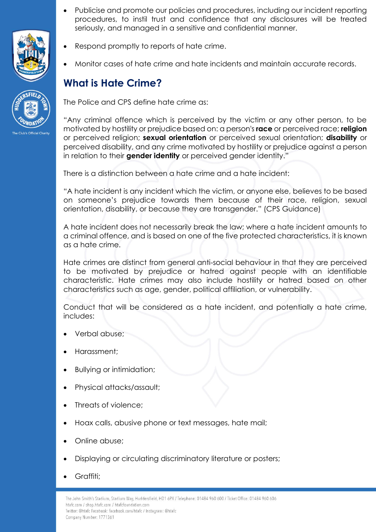



- Publicise and promote our policies and procedures, including our incident reporting procedures, to instil trust and confidence that any disclosures will be treated seriously, and managed in a sensitive and confidential manner.
- Respond promptly to reports of hate crime.
- Monitor cases of hate crime and hate incidents and maintain accurate records.

# **What is Hate Crime?**

The Police and CPS define hate crime as:

"Any criminal offence which is perceived by the victim or any other person, to be motivated by hostility or prejudice based on: a person's **race** or perceived race; **religion** or perceived religion; **sexual orientation** or perceived sexual orientation; **disability** or perceived disability, and any crime motivated by hostility or prejudice against a person in relation to their **gender identity** or perceived gender identity."

There is a distinction between a hate crime and a hate incident:

"A hate incident is any incident which the victim, or anyone else, believes to be based on someone's prejudice towards them because of their race, religion, sexual orientation, disability, or because they are transgender." (CPS Guidance)

A hate incident does not necessarily break the law; where a hate incident amounts to a criminal offence, and is based on one of the five protected characteristics, it is known as a hate crime.

Hate crimes are distinct from general anti-social behaviour in that they are perceived to be motivated by prejudice or hatred against people with an identifiable characteristic. Hate crimes may also include hostility or hatred based on other characteristics such as age, gender, political affiliation, or vulnerability.

Conduct that will be considered as a hate incident, and potentially a hate crime, includes:

- Verbal abuse;
- Harassment;
- Bullying or intimidation;
- Physical attacks/assault;
- Threats of violence;
- Hoax calls, abusive phone or text messages, hate mail;
- Online abuse;
- Displaying or circulating discriminatory literature or posters;
- Graffiti;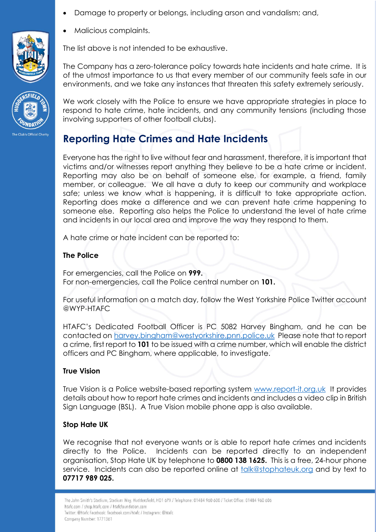• Damage to property or belongs, including arson and vandalism; and,



The list above is not intended to be exhaustive.

• Malicious complaints.

The Company has a zero-tolerance policy towards hate incidents and hate crime. It is of the utmost importance to us that every member of our community feels safe in our environments, and we take any instances that threaten this safety extremely seriously.

We work closely with the Police to ensure we have appropriate strategies in place to respond to hate crime, hate incidents, and any community tensions (including those involving supporters of other football clubs).

# **Reporting Hate Crimes and Hate Incidents**

Everyone has the right to live without fear and harassment, therefore, it is important that victims and/or witnesses report anything they believe to be a hate crime or incident. Reporting may also be on behalf of someone else, for example, a friend, family member, or colleague. We all have a duty to keep our community and workplace safe; unless we know what is happening, it is difficult to take appropriate action. Reporting does make a difference and we can prevent hate crime happening to someone else. Reporting also helps the Police to understand the level of hate crime and incidents in our local area and improve the way they respond to them.

A hate crime or hate incident can be reported to:

#### **The Police**

For emergencies, call the Police on **999.** For non-emergencies, call the Police central number on **101.**

For useful information on a match day, follow the West Yorkshire Police Twitter account @WYP-HTAFC

HTAFC's Dedicated Football Officer is PC 5082 Harvey Bingham, and he can be contacted on [harvey.bingham@westyorkshire.pnn.police.uk](mailto:harvey.bingham@westyorkshire.pnn.police.uk) Please note that to report a crime, first report to **101** to be issued with a crime number, which will enable the district officers and PC Bingham, where applicable, to investigate.

#### **True Vision**

True Vision is a Police website-based reporting system [www.report-it.org.uk](http://www.report-it.org.uk/) It provides details about how to report hate crimes and incidents and includes a video clip in British Sign Language (BSL). A True Vision mobile phone app is also available.

#### **Stop Hate UK**

We recognise that not everyone wants or is able to report hate crimes and incidents directly to the Police. Incidents can be reported directly to an independent organisation, Stop Hate UK by telephone to **0800 138 1625.** This is a free, 24-hour phone service. Incidents can also be reported online at [talk@stophateuk.org](mailto:talk@stophateuk.org) and by text to **07717 989 025.**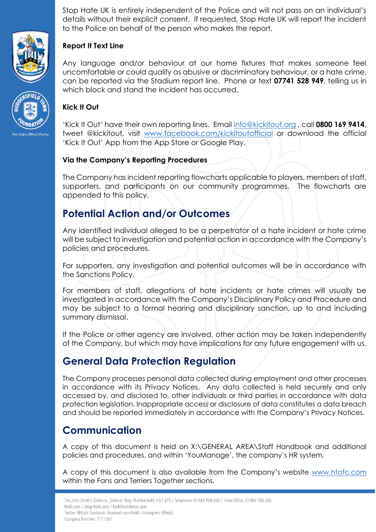Stop Hate UK is entirely independent of the Police and will not pass on an individual's details without their explicit consent. If requested, Stop Hate UK will report the incident to the Police on behalf of the person who makes the report.



### **Report It Text Line**

Any language and/or behaviour at our home fixtures that makes someone feel uncomfortable or could qualify as abusive or discriminatory behaviour, or a hate crime, can be reported via the Stadium report line. Phone or text **07741 528 949**, telling us in which block and stand the incident has occurred.

#### **Kick It Out**

'Kick It Out' have their own reporting lines. Email [info@kickitout.org](mailto:info@kickitout.org) , call **0800 169 9414**, tweet @kickitout, visit [www.facebook.com/kickitoutofficial](http://www.facebook.com/kickitoutofficial) or download the official 'Kick It Out' App from the App Store or Google Play.

#### **Via the Company's Reporting Procedures**

The Company has incident reporting flowcharts applicable to players, members of staff, supporters, and participants on our community programmes. The flowcharts are appended to this policy.

# **Potential Action and/or Outcomes**

Any identified individual alleged to be a perpetrator of a hate incident or hate crime will be subject to investigation and potential action in accordance with the Company's policies and procedures.

For supporters, any investigation and potential outcomes will be in accordance with the Sanctions Policy.

For members of staff, allegations of hate incidents or hate crimes will usually be investigated in accordance with the Company's Disciplinary Policy and Procedure and may be subject to a formal hearing and disciplinary sanction, up to and including summary dismissal.

If the Police or other agency are involved, other action may be taken independently of the Company, but which may have implications for any future engagement with us.

# **General Data Protection Regulation**

The Company processes personal data collected during employment and other processes in accordance with its Privacy Notices. Any data collected is held securely and only accessed by, and disclosed to, other individuals or third parties in accordance with data protection legislation. Inappropriate access or disclosure of data constitutes a data breach and should be reported immediately in accordance with the Company's Privacy Notices.

# **Communication**

A copy of this document is held on X:\GENERAL AREA\Staff Handbook and additional policies and procedures, and within 'YouManage', the company's HR system.

A copy of this document is also available from the Company's website [www.htafc.com](http://www.htafc.com/) within the Fans and Terriers Together sections.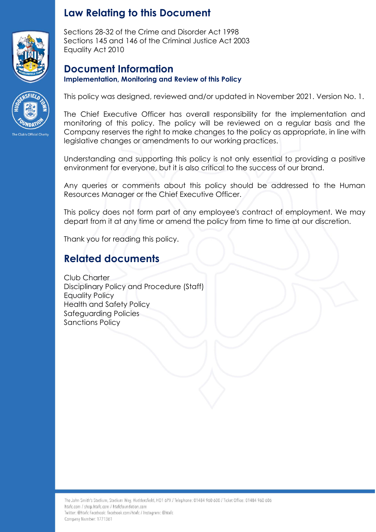

## **Law Relating to this Document**

Sections 28-32 of the Crime and Disorder Act 1998 Sections 145 and 146 of the Criminal Justice Act 2003 Equality Act 2010

### **Document Information Implementation, Monitoring and Review of this Policy**



This policy was designed, reviewed and/or updated in November 2021. Version No. 1.

The Chief Executive Officer has overall responsibility for the implementation and monitoring of this policy. The policy will be reviewed on a regular basis and the Company reserves the right to make changes to the policy as appropriate, in line with legislative changes or amendments to our working practices.

Understanding and supporting this policy is not only essential to providing a positive environment for everyone, but it is also critical to the success of our brand.

Any queries or comments about this policy should be addressed to the Human Resources Manager or the Chief Executive Officer.

This policy does not form part of any employee's contract of employment. We may depart from it at any time or amend the policy from time to time at our discretion.

Thank you for reading this policy.

# **Related documents**

Club Charter Disciplinary Policy and Procedure (Staff) Equality Policy Health and Safety Policy Safeguarding Policies Sanctions Policy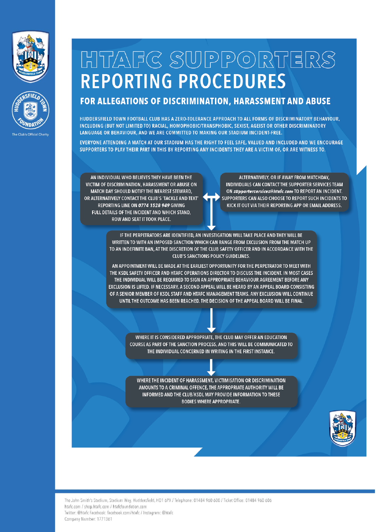



# HTAFC SUPPORTERS **REPORTING PROCEDURES**

### FOR ALLEGATIONS OF DISCRIMINATION, HARASSMENT AND ABUSE

HUDDERSFIELD TOWN FOOTBALL CLUB HAS A ZERO-TOLERANCE APPROACH TO ALL FORMS OF DISCRIMINATORY BEHAVIOUR, INCLUDING (BUT NOT LIMITED TO) RACIAL, HOMOPHOBIC/TRANSPHOBIC, SEXIST, AGEIST OR OTHER DISCRIMINATORY LANGUAGE OR BEHAVIOUR, AND WE ARE COMMITTED TO MAKING OUR STADIUM INCIDENT-FREE.

EVERYONE ATTENDING A MATCH AT OUR STADIUM HAS THE RIGHT TO FEEL SAFE, VALUED AND INCLUDED AND WE ENCOURAGE SUPPORTERS TO PLAY THEIR PART IN THIS BY REPORTING ANY INCIDENTS THEY ARE A VICTIM OF, OR ARE WITNESS TO.

AN INDIVIDUAL WHO BELIEVES THEY HAVE BEEN THE VICTIM OF DISCRIMINATION, HARASSMENT OR ABUSE ON MATCH DAY SHOULD NOTIFY THE NEAREST STEWARD, OR ALTERNATIVELY CONTACT THE CLUB'S 'TACKLE AND TEXT' REPORTING LINE ON 0774 1528 949 GIVING FULL DETAILS OF THE INCIDENT AND WHICH STAND, **ROW AND SEAT IT TOOK PLACE.** 

ALTERNATIVELY, OR IF AWAY FROM MATCHDAY, INDIVIDUALS CAN CONTACT THE SUPPORTER SERVICES TEAM ON supporterservices@htafc.com TO REPORT AN INCIDENT. SUPPORTERS CAN ALSO CHOOSE TO REPORT SUCH INCIDENTS TO KICK IT OUT VIA THEIR REPORTING APP OR EMAIL ADDRESS.

IF THE PERPETRATORS ARE IDENTIFIED, AN INVESTIGATION WILL TAKE PLACE AND THEY WILL BE WRITTEN TO WITH AN IMPOSED SANCTION WHICH CAN RANGE FROM EXCLUSION FROM THE MATCH UP TO AN INDEFINITE BAN, AT THE DISCRETION OF THE CLUB SAFETY OFFICER AND IN ACCORDANCE WITH THE **CLUB'S SANCTIONS POLICY GUIDELINES.** 

AN APPOINTMENT WILL BE MADE AT THE EARLIEST OPPORTUNITY FOR THE PERPETRATOR TO MEET WITH THE KSDL SAFETY OFFICER AND HTAFC OPERATIONS DIRECTOR TO DISCUSS THE INCIDENT. IN MOST CASES THE INDIVIDUAL WILL BE REQUIRED TO SIGN AN APPROPRIATE BEHAVIOUR AGREEMENT BEFORE ANY EXCLUSION IS LIFTED. IF NECESSARY, A SECOND APPEAL WILL BE HEARD BY AN APPEAL BOARD CONSISTING OF A SENIOR MEMBER OF KSDL STAFF AND HTAFC MANAGEMENT TEAMS. ANY EXCLUSION WILL CONTINUE UNTIL THE OUTCOME HAS BEEN REACHED. THE DECISION OF THE APPEAL BOARD WILL BE FINAL.

> WHERE IT IS CONSIDERED APPROPRIATE. THE CLUB MAY OFFER AN EDUCATION COURSE AS PART OF THE SANCTION PROCESS, AND THIS WILL BE COMMUNICATED TO THE INDIVIDUAL CONCERNED IN WRITING IN THE FIRST INSTANCE.

WHERE THE INCIDENT OF HARASSMENT, VICTIMISATION OR DISCRIMINATION AMOUNTS TO A CRIMINAL OFFENCE, THE APPROPRIATE AUTHORITY WILL BE INFORMED AND THE CLUB/KSDL MAY PROVIDE INFORMATION TO THESE **BODIES WHERE APPROPRIATE.**